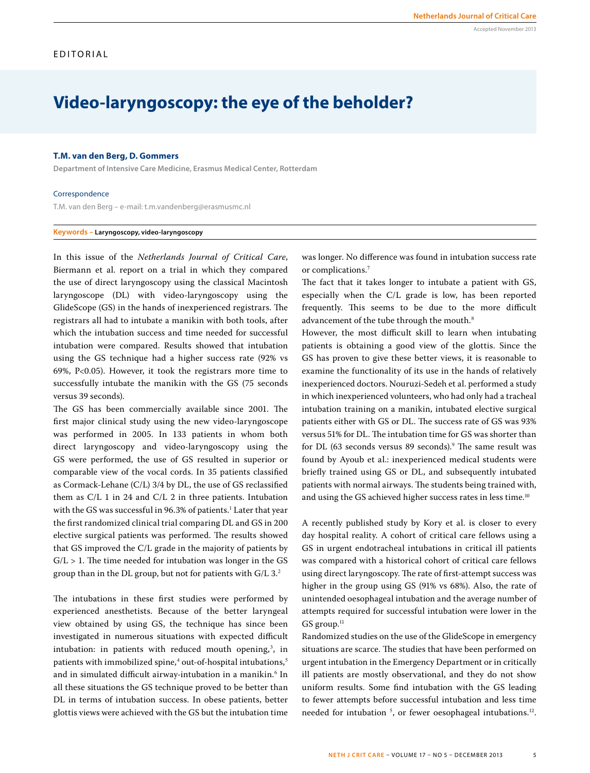# **Video-laryngoscopy: the eye of the beholder?**

## **T.M. van den Berg, D. Gommers**

**Department of Intensive Care Medicine, Erasmus Medical Center, Rotterdam**

### Correspondence

T.M. van den Berg – e-mail: t.m.vandenberg@erasmusmc.nl

## **Keywords – Laryngoscopy, video-laryngoscopy**

In this issue of the *Netherlands Journal of Critical Care*, Biermann et al. report on a trial in which they compared the use of direct laryngoscopy using the classical Macintosh laryngoscope (DL) with video-laryngoscopy using the GlideScope (GS) in the hands of inexperienced registrars. The registrars all had to intubate a manikin with both tools, after which the intubation success and time needed for successful intubation were compared. Results showed that intubation using the GS technique had a higher success rate (92% vs 69%, P<0.05). However, it took the registrars more time to successfully intubate the manikin with the GS (75 seconds versus 39 seconds).

The GS has been commercially available since 2001. The first major clinical study using the new video-laryngoscope was performed in 2005. In 133 patients in whom both direct laryngoscopy and video-laryngoscopy using the GS were performed, the use of GS resulted in superior or comparable view of the vocal cords. In 35 patients classified as Cormack-Lehane (C/L) 3/4 by DL, the use of GS reclassified them as C/L 1 in 24 and C/L 2 in three patients. Intubation with the GS was successful in 96.3% of patients.<sup>1</sup> Later that year the first randomized clinical trial comparing DL and GS in 200 elective surgical patients was performed. The results showed that GS improved the C/L grade in the majority of patients by  $G/L > 1$ . The time needed for intubation was longer in the GS group than in the DL group, but not for patients with G/L 3.<sup>2</sup>

The intubations in these first studies were performed by experienced anesthetists. Because of the better laryngeal view obtained by using GS, the technique has since been investigated in numerous situations with expected difficult intubation: in patients with reduced mouth opening,<sup>3</sup>, in patients with immobilized spine, $^4$  out-of-hospital intubations, $^5$ and in simulated difficult airway-intubation in a manikin.<sup>6</sup> In all these situations the GS technique proved to be better than DL in terms of intubation success. In obese patients, better glottis views were achieved with the GS but the intubation time

was longer. No difference was found in intubation success rate or complications.<sup>7</sup>

The fact that it takes longer to intubate a patient with GS, especially when the C/L grade is low, has been reported frequently. This seems to be due to the more difficult advancement of the tube through the mouth.<sup>8</sup>

However, the most difficult skill to learn when intubating patients is obtaining a good view of the glottis. Since the GS has proven to give these better views, it is reasonable to examine the functionality of its use in the hands of relatively inexperienced doctors. Nouruzi-Sedeh et al. performed a study in which inexperienced volunteers, who had only had a tracheal intubation training on a manikin, intubated elective surgical patients either with GS or DL. The success rate of GS was 93% versus 51% for DL. The intubation time for GS was shorter than for DL (63 seconds versus 89 seconds).<sup>9</sup> The same result was found by Ayoub et al.: inexperienced medical students were briefly trained using GS or DL, and subsequently intubated patients with normal airways. The students being trained with, and using the GS achieved higher success rates in less time.<sup>10</sup>

A recently published study by Kory et al. is closer to every day hospital reality. A cohort of critical care fellows using a GS in urgent endotracheal intubations in critical ill patients was compared with a historical cohort of critical care fellows using direct laryngoscopy. The rate of first-attempt success was higher in the group using GS (91% vs 68%). Also, the rate of unintended oesophageal intubation and the average number of attempts required for successful intubation were lower in the  $GS$  group. $11$ 

Randomized studies on the use of the GlideScope in emergency situations are scarce. The studies that have been performed on urgent intubation in the Emergency Department or in critically ill patients are mostly observational, and they do not show uniform results. Some find intubation with the GS leading to fewer attempts before successful intubation and less time needed for intubation <sup>5</sup>, or fewer oesophageal intubations.<sup>12</sup>.